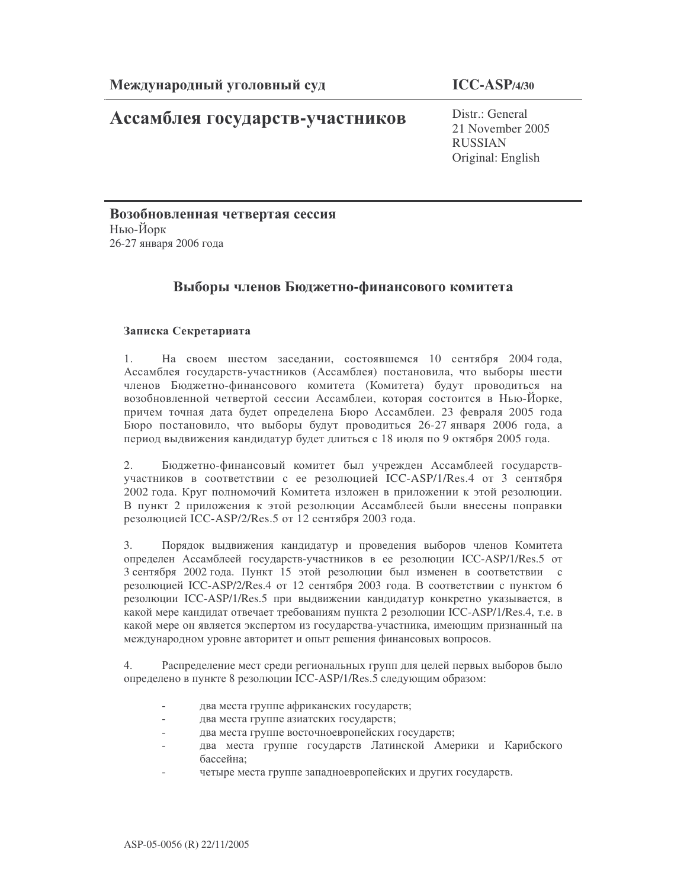# Ассамблея государств-участников

 $Distr \cdot General$ 21 November 2005 **RUSSIAN** Original: English

Возобновленная четвертая сессия Нью-Йорк 26-27 января 2006 года

# Выборы членов Бюджетно-финансового комитета

## Записка Секретариата

На своем шестом заседании, состоявшемся 10 сентября 2004 года,  $1.$ Ассамблея государств-участников (Ассамблея) постановила, что выборы шести членов Бюджетно-финансового комитета (Комитета) будут проводиться на возобновленной четвертой сессии Ассамблеи, которая состоится в Нью-Йорке, причем точная дата будет определена Бюро Ассамблеи. 23 февраля 2005 года Бюро постановило, что выборы будут проводиться 26-27 января 2006 года, а период выдвижения кандидатур будет длиться с 18 июля по 9 октября 2005 года.

Бюджетно-финансовый комитет был учрежден Ассамблеей государств- $2.$ участников в соответствии с ее резолюцией ICC-ASP/1/Res.4 от 3 сентября 2002 года. Круг полномочий Комитета изложен в приложении к этой резолюции. В пункт 2 приложения к этой резолюции Ассамблеей были внесены поправки резолюцией ICC-ASP/2/Res.5 от 12 сентября 2003 года.

 $3<sub>1</sub>$ Порядок выдвижения кандидатур и проведения выборов членов Комитета определен Ассамблеей государств-участников в ее резолюции ICC-ASP/1/Res.5 от 3 сентября 2002 года. Пункт 15 этой резолюции был изменен в соответствии с резолюцией ICC-ASP/2/Res.4 от 12 сентября 2003 года. В соответствии с пунктом 6 резолюции ICC-ASP/1/Res.5 при выдвижении кандидатур конкретно указывается, в какой мере кандидат отвечает требованиям пункта 2 резолюции ICC-ASP/1/Res.4, т.е. в какой мере он является экспертом из государства-участника, имеющим признанный на международном уровне авторитет и опыт решения финансовых вопросов.

Распределение мест среди региональных групп для целей первых выборов было  $4.$ определено в пункте 8 резолюции ICC-ASP/1/Res.5 следующим образом:

- два места группе африканских государств;
- два места группе азиатских государств;
- два места группе восточноевропейских государств;
- два места группе государств Латинской Америки и Карибского бассейна:
- четыре места группе западноевропейских и других государств.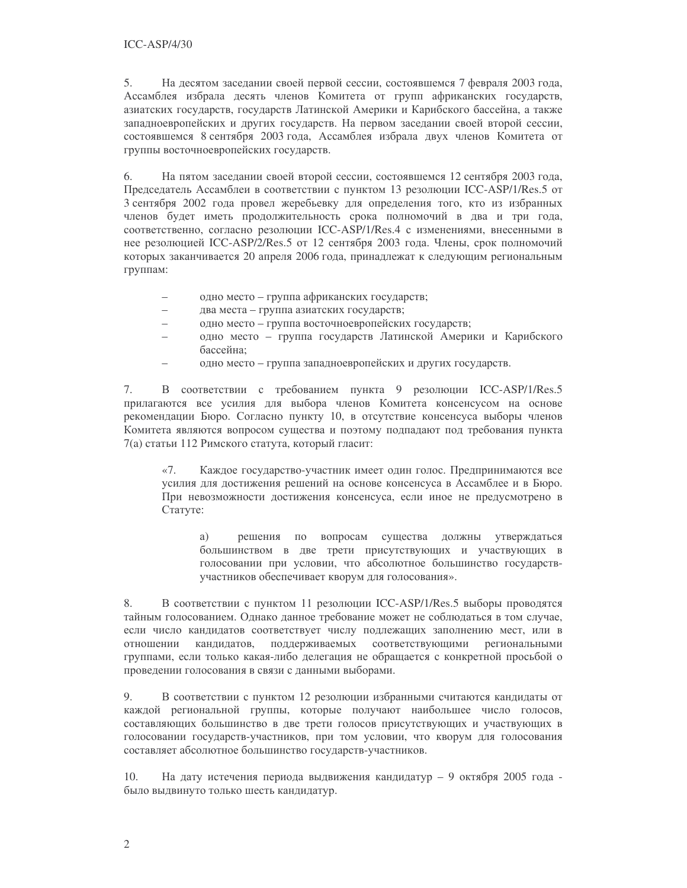5. На десятом заседании своей первой сессии, состоявшемся 7 февраля 2003 года, Ассамблея избрала десять членов Комитета от групп африканских государств, азиатских государств, государств Латинской Америки и Карибского бассейна, а также западноевропейских и других государств. На первом заседании своей второй сессии, состоявшемся 8 сентября 2003 года, Ассамблея избрала двух членов Комитета от группы восточноевропейских государств.

6. На пятом заседании своей второй сессии, состоявшемся 12 сентября 2003 года, Председатель Ассамблеи в соответствии с пунктом 13 резолюции ICC-ASP/1/Res.5 от 3 сентября 2002 года провел жеребьевку для определения того, кто из избранных членов будет иметь продолжительность срока полномочий в два и три года, соответственно, согласно резолюции ICC-ASP/1/Res.4 с изменениями, внесенными в нее резолюцией ICC-ASP/2/Res.5 от 12 сентября 2003 года. Члены, срок полномочий которых заканчивается 20 апреля 2006 года, принадлежат к следующим региональным группам:

- одно место группа африканских государств;
- $\equiv$ два места - группа азиатских государств;
- $\frac{1}{2}$ одно место - группа восточноевропейских государств;
- одно место группа государств Латинской Америки и Карибского бассейна:
- одно место группа западноевропейских и других государств.

7. В соответствии с требованием пункта 9 резолюции ICC-ASP/1/Res.5 прилагаются все усилия для выбора членов Комитета консенсусом на основе рекомендации Бюро. Согласно пункту 10, в отсутствие консенсуса выборы членов Комитета являются вопросом существа и поэтому подпадают под требования пункта 7(а) статьи 112 Римского статута, который гласит:

 $\langle 7.$ Каждое государство-участник имеет один голос. Предпринимаются все усилия для достижения решений на основе консенсуса в Ассамблее и в Бюро. При невозможности достижения консенсуса, если иное не предусмотрено в Статуте:

решения по вопросам существа должны утверждаться a) большинством в две трети присутствующих и участвующих в голосовании при условии, что абсолютное большинство государствучастников обеспечивает кворум для голосования».

8. В соответствии с пунктом 11 резолюции ICC-ASP/1/Res.5 выборы проводятся тайным голосованием. Однако данное требование может не соблюдаться в том случае, если число кандидатов соответствует числу подлежащих заполнению мест, или в поддерживаемых соответствующими региональными отношении кандидатов, группами, если только какая-либо делегация не обращается с конкретной просьбой о проведении голосования в связи с данными выборами.

9. В соответствии с пунктом 12 резолюции избранными считаются кандидаты от каждой региональной группы, которые получают наибольшее число голосов, составляющих большинство в две трети голосов присутствующих и участвующих в голосовании государств-участников, при том условии, что кворум для голосования составляет абсолютное большинство государств-участников.

На дату истечения периода выдвижения кандидатур - 9 октября 2005 года -10. было выдвинуто только шесть кандидатур.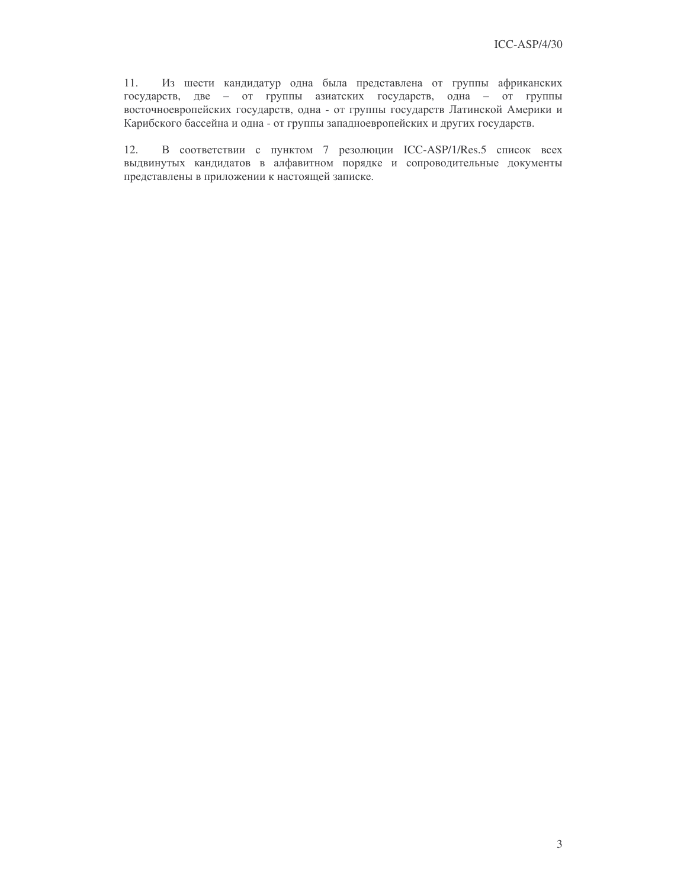$11.$ Из шести кандидатур одна была представлена от группы африканских государств, две - от группы азиатских государств, одна - от группы восточноевропейских государств, одна - от группы государств Латинской Америки и Карибского бассейна и одна - от группы западноевропейских и других государств.

 $12.$ В соответствии с пунктом 7 резолюции ICC-ASP/1/Res.5 список всех выдвинутых кандидатов в алфавитном порядке и сопроводительные документы представлены в приложении к настоящей записке.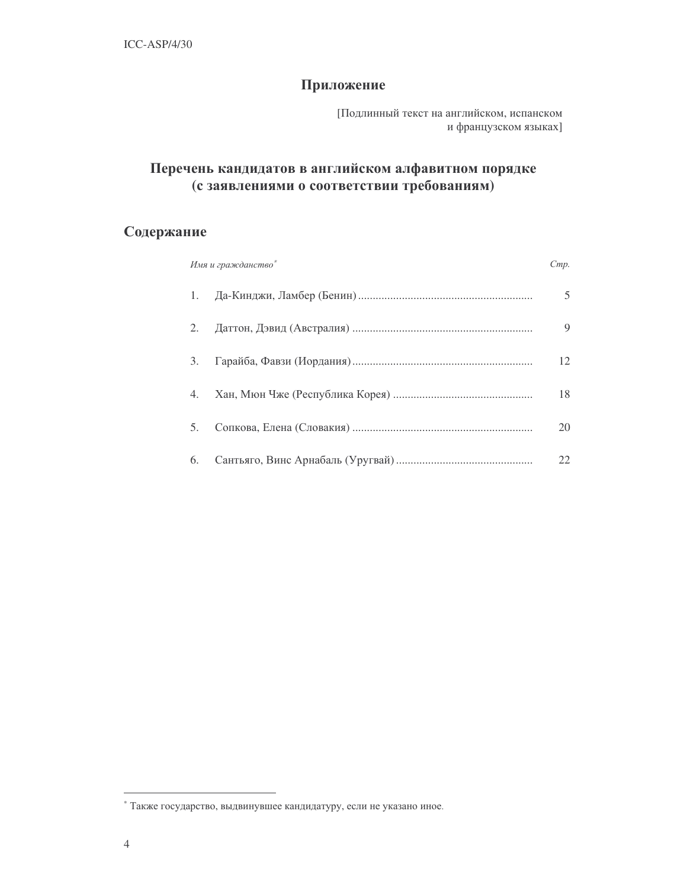# Приложение

[Подлинный текст на английском, испанском и французском языках]

# Перечень кандидатов в английском алфавитном порядке (с заявлениями о соответствии требованиям)

# Содержание

|    | Имя и гражданство | Cmp. |
|----|-------------------|------|
|    |                   | 5    |
| 2. |                   | 9    |
| 3. |                   | 12   |
| 4. |                   | 18   |
| 5. |                   | 20   |
| 6. |                   | 22   |

<sup>\*</sup> Также государство, выдвинувшее кандидатуру, если не указано иное.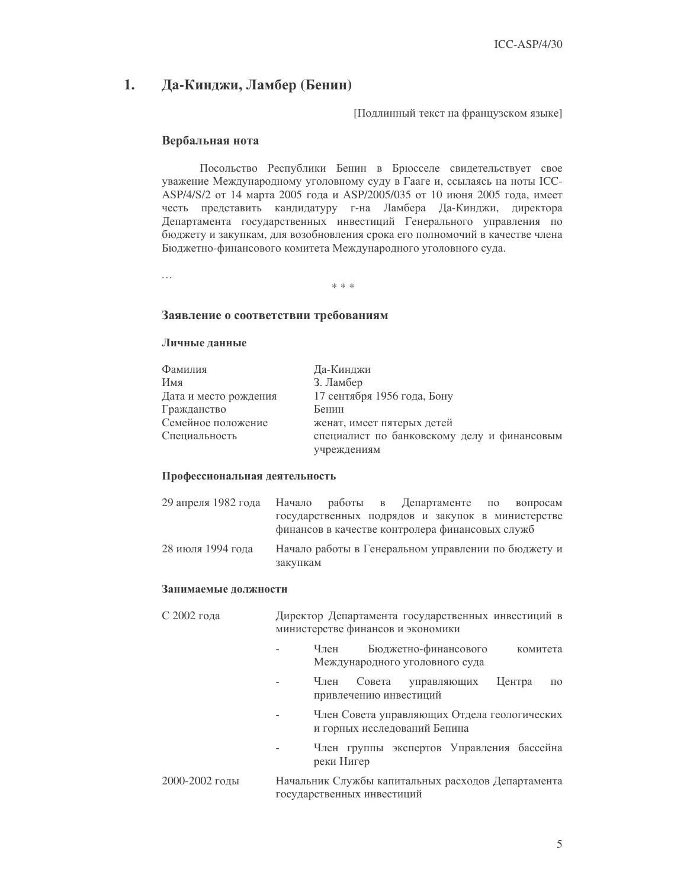#### 1. Да-Кинджи, Ламбер (Бенин)

[Подлинный текст на французском языке]

## Вербальная нота

Посольство Республики Бенин в Брюсселе свидетельствует свое уважение Международному уголовному суду в Гааге и, ссылаясь на ноты ICC-ASP/4/S/2 от 14 марта 2005 года и ASP/2005/035 от 10 июня 2005 года, имеет честь представить кандидатуру г-на Ламбера Да-Кинджи, директора Департамента государственных инвестиций Генерального управления по бюджету и закупкам, для возобновления срока его полномочий в качестве члена Бюджетно-финансового комитета Международного уголовного суда.

 $\dddotsc$ 

 $* * *$ 

## Заявление о соответствии требованиям

### Личные данные

| Фамилия               | Да-Кинджи                                   |
|-----------------------|---------------------------------------------|
| Имя                   | 3. Ламбер                                   |
| Дата и место рождения | 17 сентября 1956 года, Бону                 |
| Гражданство           | Бенин                                       |
| Семейное положение    | женат, имеет пятерых детей                  |
| Специальность         | специалист по банковскому делу и финансовым |
|                       | учреждениям                                 |

## Профессиональная деятельность

| 29 апреля 1982 года Начало работы в Департаменте по вопросам |                                                 |  |  |  |                                                     |
|--------------------------------------------------------------|-------------------------------------------------|--|--|--|-----------------------------------------------------|
|                                                              | финансов в качестве контролера финансовых служб |  |  |  | государственных подрядов и закупок в министерстве   |
| 28 июля 1994 года                                            | закупкам                                        |  |  |  | Начало работы в Генеральном управлении по бюджету и |

#### Занимаемые должности

| С 2002 года    | Директор Департамента государственных инвестиций в<br>министерстве финансов и экономики |  |  |  |  |  |
|----------------|-----------------------------------------------------------------------------------------|--|--|--|--|--|
|                | Бюджетно-финансового<br>Член<br>комитета<br>Международного уголовного суда              |  |  |  |  |  |
|                | Член<br>Совета управляющих<br>Центра<br>$\Pi$ <sup>O</sup><br>привлечению инвестиций    |  |  |  |  |  |
|                | Член Совета управляющих Отдела геологических<br>и горных исследований Бенина            |  |  |  |  |  |
|                | Член группы экспертов Управления бассейна<br>реки Нигер                                 |  |  |  |  |  |
| 2000-2002 годы | Начальник Службы капитальных расходов Департамента<br>государственных инвестиций        |  |  |  |  |  |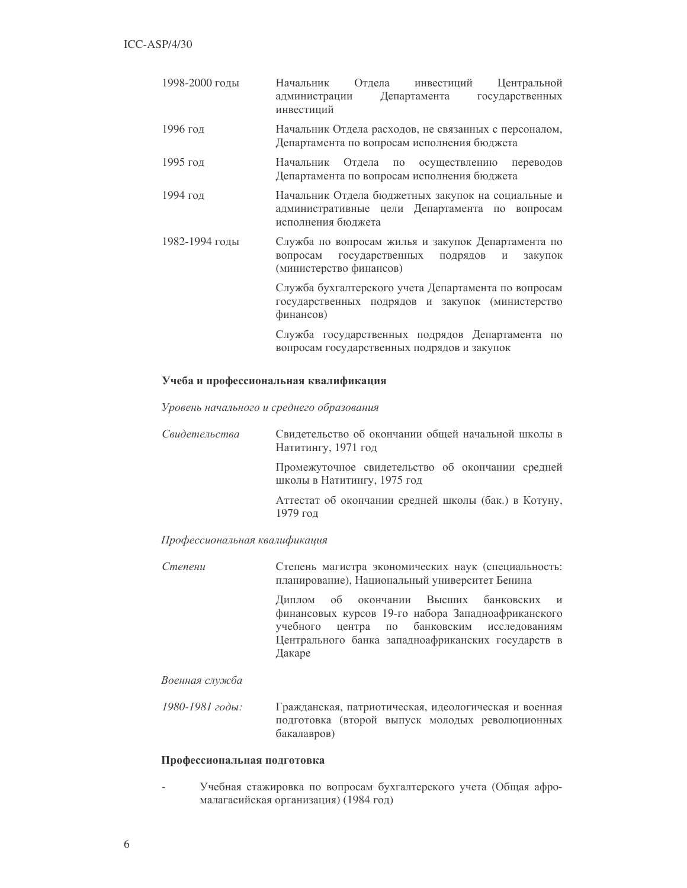| 1998-2000 годы | Отдела инвестиций<br>Центральной<br>Начальник<br>Департамента государственных<br>администрации<br>инвестиций                          |
|----------------|---------------------------------------------------------------------------------------------------------------------------------------|
| 1996 год       | Начальник Отдела расходов, не связанных с персоналом,<br>Департамента по вопросам исполнения бюджета                                  |
| 1995 год       | Начальник Отдела по осуществлению переводов<br>Департамента по вопросам исполнения бюджета                                            |
| 1994 год       | Начальник Отдела бюджетных закупок на социальные и<br>административные цели Департамента по вопросам<br>исполнения бюджета            |
| 1982-1994 годы | Служба по вопросам жилья и закупок Департамента по<br>государственных подрядов<br>вопросам<br>закупок<br>И<br>(министерство финансов) |
|                | Служба бухгалтерского учета Департамента по вопросам<br>государственных подрядов и закупок (министерство<br>финансов)                 |
|                | Служба государственных подрядов Департамента по<br>вопросам государственных подрядов и закупок                                        |

## Учеба и профессиональная квалификация

Уровень начального и среднего образования

| Свидетельства | Свидетельство об окончании общей начальной школы в<br>Натитингу, 1971 год       |
|---------------|---------------------------------------------------------------------------------|
|               | Промежуточное свидетельство об окончании средней<br>школы в Натитингу, 1975 год |
|               | Аттестат об окончании средней школы (бак.) в Котуну,<br>1979 год                |

## Профессиональная квалификация

Степени Степень магистра экономических наук (специальность: планирование), Национальный университет Бенина Диплом об окончании Высших банковских  $\mathbf{H}$ финансовых курсов 19-го набора Западноафриканского учебного центра по банковским исследованиям Центрального банка западноафриканских государств в Дакаре

## Военная служба

1980-1981 годы: Гражданская, патриотическая, идеологическая и военная подготовка (второй выпуск молодых революционных бакалавров)

## Профессиональная подготовка

Учебная стажировка по вопросам бухгалтерского учета (Общая афромалагасийская организация) (1984 год)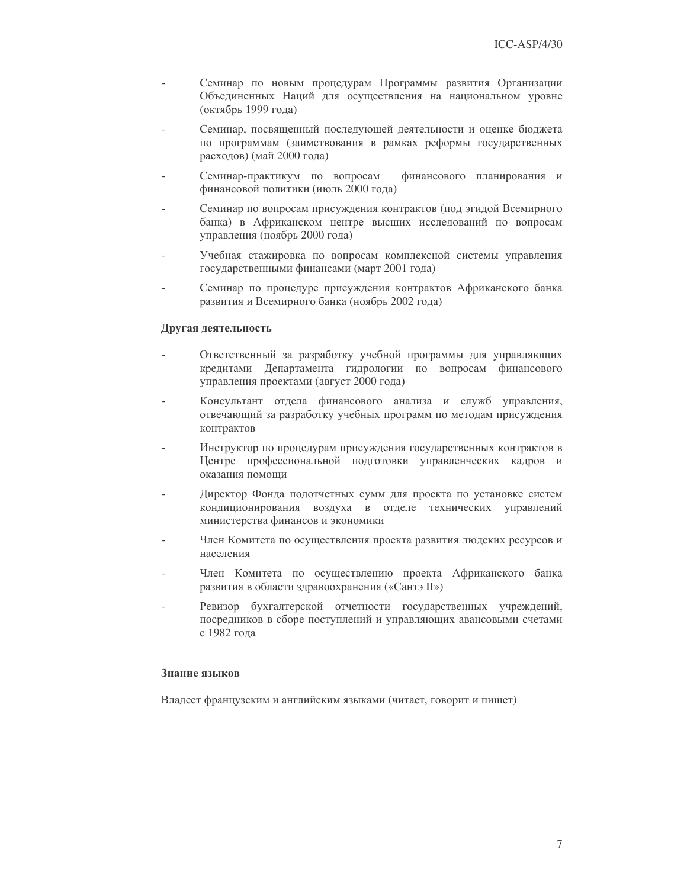- Семинар по новым процедурам Программы развития Организации Объединенных Наций для осуществления на национальном уровне (октябрь 1999 года)
- Семинар, посвященный последующей деятельности и оценке бюджета по программам (заимствования в рамках реформы государственных расходов) (май 2000 года)
- Семинар-практикум по вопросам финансового планирования и финансовой политики (июль 2000 года)
- Семинар по вопросам присуждения контрактов (под эгидой Всемирного банка) в Африканском центре высших исследований по вопросам управления (ноябрь 2000 года)
- Учебная стажировка по вопросам комплексной системы управления государственными финансами (март 2001 года)
- Семинар по процедуре присуждения контрактов Африканского банка развития и Всемирного банка (ноябрь 2002 года)

## Другая деятельность

- Ответственный за разработку учебной программы для управляющих кредитами Департамента гидрологии по вопросам финансового управления проектами (август 2000 года)
- Консультант отдела финансового анализа и служб управления, отвечающий за разработку учебных программ по методам присуждения контрактов
- Инструктор по процедурам присуждения государственных контрактов в Центре профессиональной подготовки управленческих кадров и оказания помоши
- Директор Фонда подотчетных сумм для проекта по установке систем кондиционирования воздуха в отделе технических управлений министерства финансов и экономики
- Член Комитета по осуществления проекта развития людских ресурсов и населения
- Член Комитета по осуществлению проекта Африканского банка развития в области здравоохранения («Сантэ II»)
- Ревизор бухгалтерской отчетности государственных учреждений, посредников в сборе поступлений и управляющих авансовыми счетами с 1982 года

## Знание языков

Владеет французским и английским языками (читает, говорит и пишет)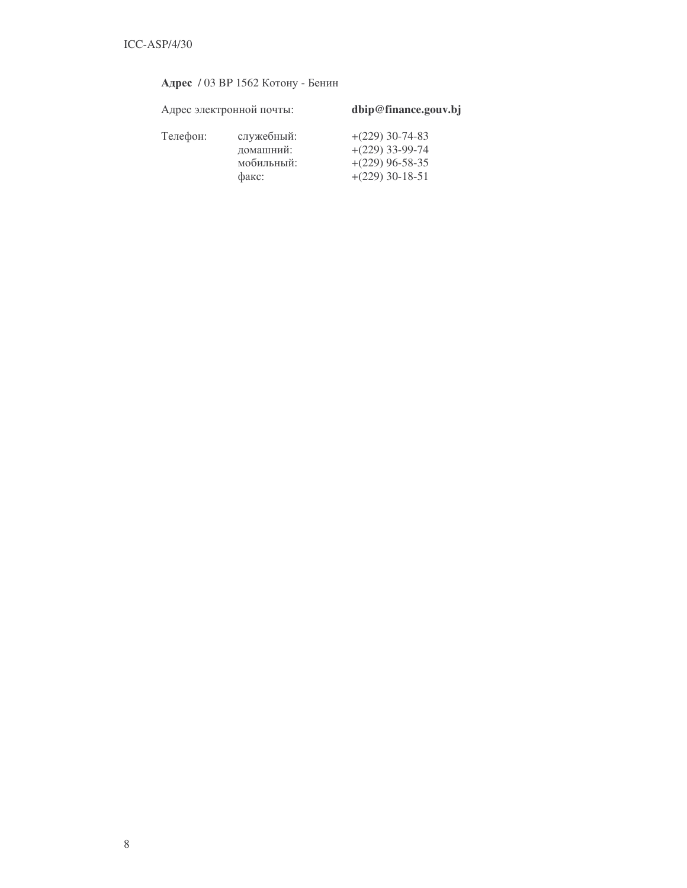| Адрес / 03 ВР 1562 Котону - Бенин |  |  |  |  |  |
|-----------------------------------|--|--|--|--|--|
|-----------------------------------|--|--|--|--|--|

|          | Адрес электронной почты:                       | dbip@finance.gouv.bj                                                             |  |  |
|----------|------------------------------------------------|----------------------------------------------------------------------------------|--|--|
| Телефон: | служебный:<br>домашний:<br>мобильный:<br>факс: | $+(229)$ 30-74-83<br>$+(229)$ 33-99-74<br>$+(229)$ 96-58-35<br>$+(229)$ 30-18-51 |  |  |
|          |                                                |                                                                                  |  |  |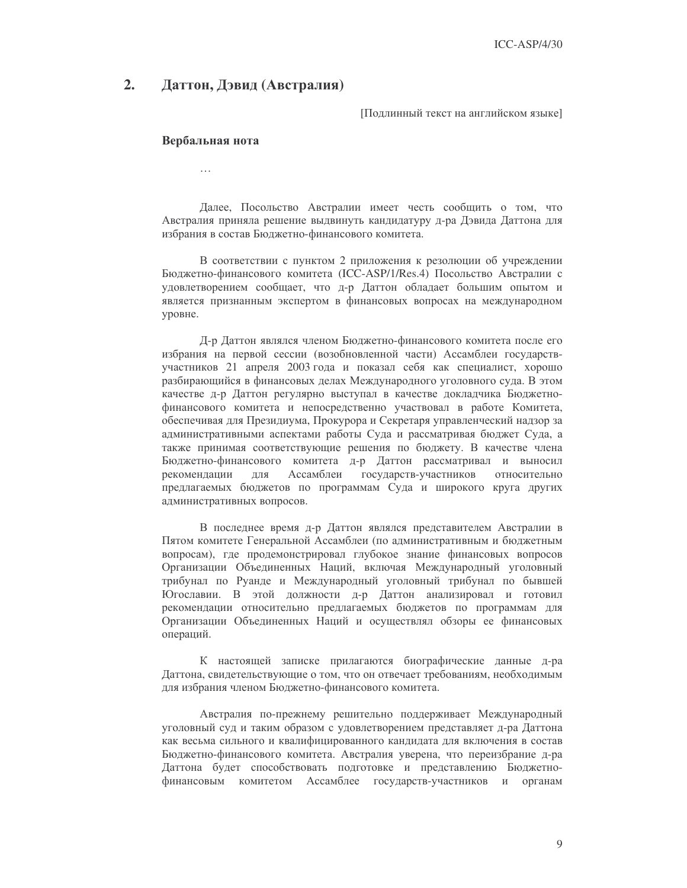#### $2.$ Даттон, Дэвид (Австралия)

Подлинный текст на английском языке]

## Вербальная нота

 $\ddotsc$ 

Далее, Посольство Австралии имеет честь сообщить о том, что Австралия приняла решение выдвинуть кандидатуру д-ра Дэвида Даттона для избрания в состав Бюджетно-финансового комитета.

В соответствии с пунктом 2 приложения к резолюции об учреждении Бюджетно-финансового комитета (ICC-ASP/1/Res.4) Посольство Австралии с удовлетворением сообщает, что д-р Даттон обладает большим опытом и является признанным экспертом в финансовых вопросах на международном уровне.

Д-р Даттон являлся членом Бюджетно-финансового комитета после его избрания на первой сессии (возобновленной части) Ассамблеи государствучастников 21 апреля 2003 года и показал себя как специалист, хорошо разбирающийся в финансовых делах Международного уголовного суда. В этом качестве д-р Даттон регулярно выступал в качестве докладчика Бюджетнофинансового комитета и непосредственно участвовал в работе Комитета, обеспечивая для Президиума, Прокурора и Секретаря управленческий надзор за административными аспектами работы Суда и рассматривая бюджет Суда, а также принимая соответствующие решения по бюджету. В качестве члена Бюджетно-финансового комитета д-р Даттон рассматривал и выносил рекомендации Ассамблеи государств-участников ЛЛЯ относительно предлагаемых бюджетов по программам Суда и широкого круга других административных вопросов.

В последнее время д-р Даттон являлся представителем Австралии в Пятом комитете Генеральной Ассамблеи (по административным и бюджетным вопросам), где продемонстрировал глубокое знание финансовых вопросов Организации Объединенных Наций, включая Международный уголовный трибунал по Руанде и Международный уголовный трибунал по бывшей Югославии. В этой должности д-р Даттон анализировал и готовил рекомендации относительно предлагаемых бюджетов по программам для Организации Объединенных Наций и осуществлял обзоры ее финансовых операций.

К настоящей записке прилагаются биографические данные д-ра Даттона, свидетельствующие о том, что он отвечает требованиям, необходимым для избрания членом Бюджетно-финансового комитета.

Австралия по-прежнему решительно поддерживает Международный уголовный суд и таким образом с удовлетворением представляет д-ра Даттона как весьма сильного и квалифицированного кандидата для включения в состав Бюджетно-финансового комитета. Австралия уверена, что переизбрание д-ра Даттона будет способствовать подготовке и представлению Бюджетнофинансовым комитетом Ассамблее государств-участников и органам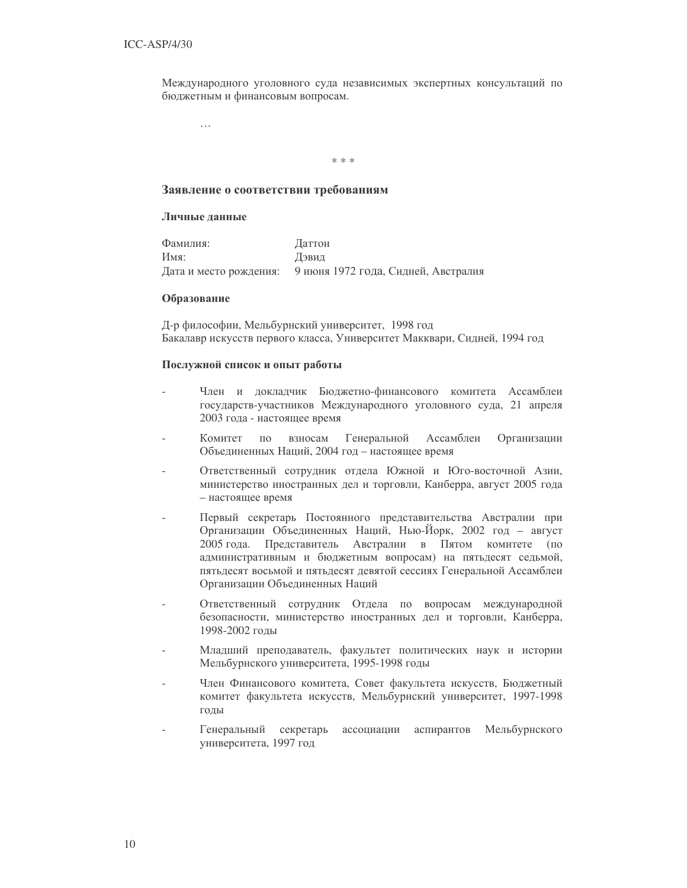Международного уголовного суда независимых экспертных консультаций по бюджетным и финансовым вопросам.

 $\ldots$ 

 $* * *$ 

## Заявление о соответствии требованиям

## Личные данные

Фамилия: Латтон Имя: Дэвид 9 июня 1972 года, Сидней, Австралия Дата и место рождения:

#### Образование

Д-р философии, Мельбурнский университет, 1998 год Бакалавр искусств первого класса, Университет Макквари, Сидней, 1994 год

## Послужной список и опыт работы

- Член и докладчик Бюджетно-финансового комитета Ассамблеи государств-участников Международного уголовного суда, 21 апреля 2003 года - настоящее время
- Комитет  $\overline{10}$ взносам Генеральной Ассамблеи Организации Объединенных Наций, 2004 год - настоящее время
- Ответственный сотрудник отдела Южной и Юго-восточной Азии, министерство иностранных дел и торговли, Канберра, август 2005 года - настоящее время
- Первый секретарь Постоянного представительства Австралии при Организации Объединенных Наций, Нью-Йорк, 2002 год - август 2005 года. Представитель Австралии в Пятом комитете (по административным и бюджетным вопросам) на пятьдесят седьмой, пятьдесят восьмой и пятьдесят девятой сессиях Генеральной Ассамблеи Организации Объединенных Наций
- Ответственный сотрудник Отдела по вопросам международной безопасности, министерство иностранных дел и торговли, Канберра, 1998-2002 годы
- Младший преподаватель, факультет политических наук и истории Мельбурнского университета, 1995-1998 годы
- Член Финансового комитета, Совет факультета искусств, Бюджетный комитет факультета искусств, Мельбурнский университет, 1997-1998 ГОДЫ
- Генеральный секретарь ассоциации аспирантов Мельбурнского университета, 1997 год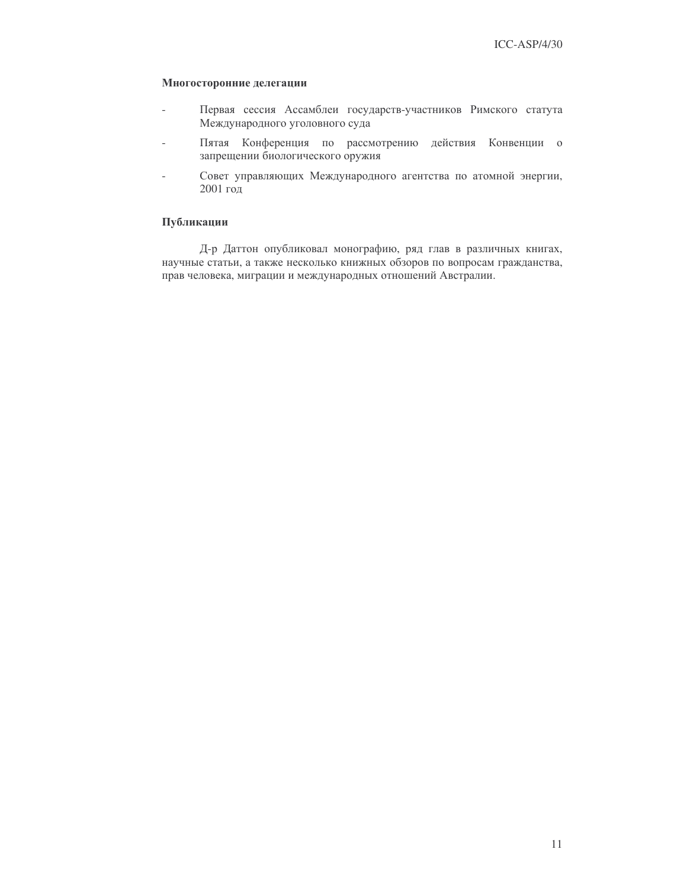## Многосторонние делегации

- Первая сессия Ассамблеи государств-участников Римского статута  $\overline{a}$ Международного уголовного суда
- Пятая Конференция по рассмотрению действия Конвенции о запрещении биологического оружия
- Совет управляющих Международного агентства по атомной энергии,  $\overline{a}$ 2001 год

## Публикации

Д-р Даттон опубликовал монографию, ряд глав в различных книгах, научные статьи, а также несколько книжных обзоров по вопросам гражданства, прав человека, миграции и международных отношений Австралии.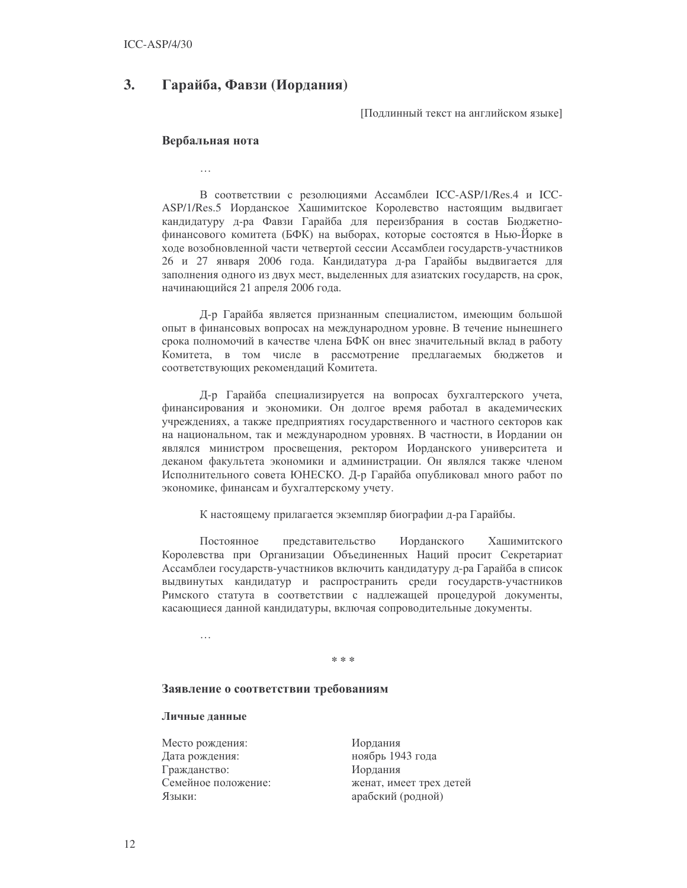#### **3.** Гарайба, Фавзи (Иордания)

Подлинный текст на английском языке]

## Вербальная нота

 $\ddotsc$ 

В соответствии с резолюциями Ассамблеи ICC-ASP/1/Res.4 и ICC-ASP/1/Res.5 Иорданское Хашимитское Королевство настоящим выдвигает кандидатуру д-ра Фавзи Гарайба для переизбрания в состав Бюджетнофинансового комитета (БФК) на выборах, которые состоятся в Нью-Йорке в ходе возобновленной части четвертой сессии Ассамблеи государств-участников 26 и 27 января 2006 года. Кандидатура д-ра Гарайбы выдвигается для заполнения одного из двух мест, выделенных для азиатских государств, на срок, начинающийся 21 апреля 2006 года.

Д-р Гарайба является признанным специалистом, имеющим большой опыт в финансовых вопросах на международном уровне. В течение нынешнего срока полномочий в качестве члена БФК он внес значительный вклад в работу Комитета, в том числе в рассмотрение предлагаемых бюджетов и соответствующих рекомендаций Комитета.

Д-р Гарайба специализируется на вопросах бухгалтерского учета, финансирования и экономики. Он долгое время работал в академических учреждениях, а также предприятиях государственного и частного секторов как на национальном, так и международном уровнях. В частности, в Иордании он являлся министром просвещения, ректором Иорданского университета и деканом факультета экономики и администрации. Он являлся также членом Исполнительного совета ЮНЕСКО. Д-р Гарайба опубликовал много работ по экономике, финансам и бухгалтерскому учету.

К настоящему прилагается экземпляр биографии д-ра Гарайбы.

Постоянное представительство Иорданского Хашимитского Королевства при Организации Объединенных Наций просит Секретариат Ассамблеи государств-участников включить кандидатуру д-ра Гарайба в список выдвинутых кандидатур и распространить среди государств-участников Римского статута в соответствии с надлежащей процедурой документы, касающиеся данной кандидатуры, включая сопроводительные документы.

#### e<br>Standards

#### Заявление о соответствии требованиям

## Личные данные

Место рождения: Дата рождения: Гражданство: Семейное положение: Языки:

Иорлания ноябрь 1943 года Иордания женат, имеет трех детей арабский (родной)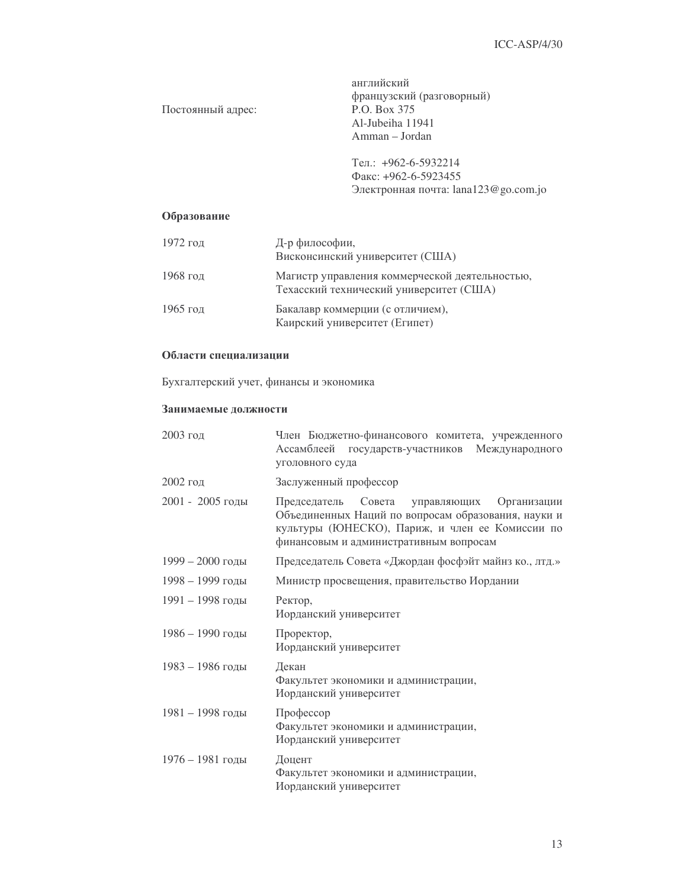английский французский (разговорный) P.O. Box 375 Al-Jubeiha 11941 Amman - Jordan

Тел.: +962-6-5932214 Факс: +962-6-5923455 Электронная почта: lana123@go.com.jo

## Образование

Постоянный адрес:

| 1972 год | Д-р философии,<br>Висконсинский университет (США)                                         |
|----------|-------------------------------------------------------------------------------------------|
| 1968 год | Магистр управления коммерческой деятельностью,<br>Техасский технический университет (США) |
| 1965 год | Бакалавр коммерции (с отличием),<br>Каирский университет (Египет)                         |

## Области специализации

Бухгалтерский учет, финансы и экономика

## Занимаемые должности

| 2003 год           | Член Бюджетно-финансового комитета, учрежденного<br>Ассамблеей<br>государств-участников Международного<br>уголовного суда                                                                             |
|--------------------|-------------------------------------------------------------------------------------------------------------------------------------------------------------------------------------------------------|
| $2002$ год         | Заслуженный профессор                                                                                                                                                                                 |
| 2001 - 2005 годы   | Совета управляющих<br>Председатель<br>Организации<br>Объединенных Наций по вопросам образования, науки и<br>культуры (ЮНЕСКО), Париж, и член ее Комиссии по<br>финансовым и административным вопросам |
| 1999 - 2000 годы   | Председатель Совета «Джордан фосфэйт майнз ко., лтд.»                                                                                                                                                 |
| $1998 - 1999$ годы | Министр просвещения, правительство Иордании                                                                                                                                                           |
| $1991 - 1998$ годы | Ректор,<br>Иорданский университет                                                                                                                                                                     |
| 1986 - 1990 годы   | Проректор,<br>Иорданский университет                                                                                                                                                                  |
| 1983 - 1986 годы   | Декан<br>Факультет экономики и администрации,<br>Иорданский университет                                                                                                                               |
| 1981 - 1998 годы   | Профессор<br>Факультет экономики и администрации,<br>Иорданский университет                                                                                                                           |
| 1976 - 1981 годы   | Доцент<br>Факультет экономики и администрации,<br>Иорданский университет                                                                                                                              |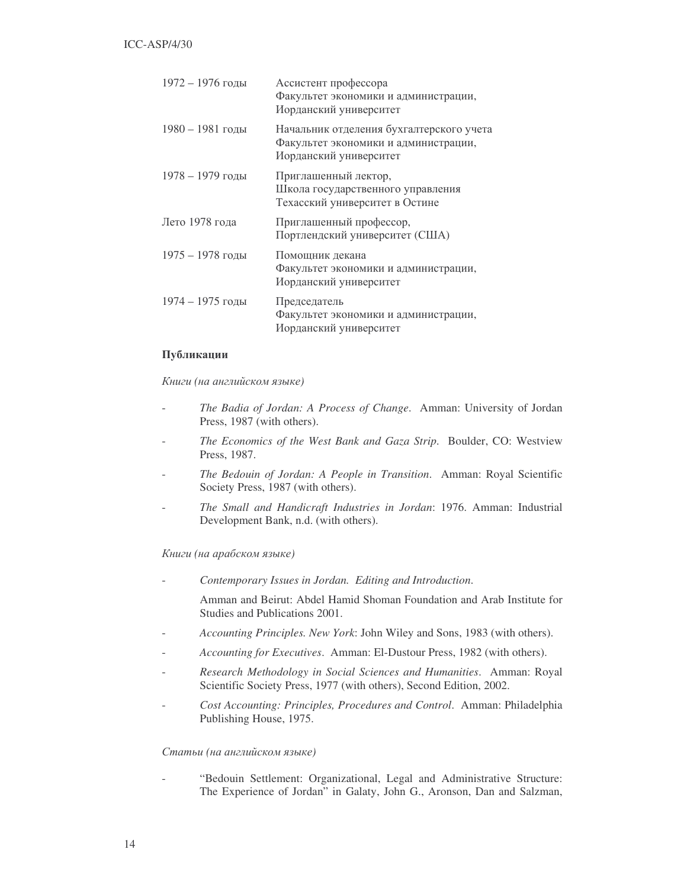| 1972 - 1976 годы   | Ассистент профессора<br>Факультет экономики и администрации,<br>Иорданский университет                     |
|--------------------|------------------------------------------------------------------------------------------------------------|
| 1980 - 1981 годы   | Начальник отделения бухгалтерского учета<br>Факультет экономики и администрации,<br>Иорданский университет |
| 1978 – 1979 годы   | Приглашенный лектор,<br>Школа государственного управления<br>Техасский университет в Остине                |
| Лето 1978 года     | Приглашенный профессор,<br>Портлендский университет (США)                                                  |
| $1975 - 1978$ голы | Помощник декана<br>Факультет экономики и администрации,<br>Иорданский университет                          |
| $1974 - 1975$ голы | Председатель<br>Факультет экономики и администрации,<br>Иорданский университет                             |

## Публикации

Книги (на английском языке)

- *The Badia of Jordan: A Process of Change*. Amman: University of Jordan Press, 1987 (with others).
- *The Economics of the West Bank and Gaza Strip*. Boulder, CO: Westview Press, 1987.
- *The Bedouin of Jordan: A People in Transition*. Amman: Royal Scientific Society Press, 1987 (with others).
- *The Small and Handicraft Industries in Jordan*: 1976. Amman: Industrial Development Bank, n.d. (with others).

Книги (на арабском языке)

- *Contemporary Issues in Jordan. Editing and Introduction*.

Amman and Beirut: Abdel Hamid Shoman Foundation and Arab Institute for Studies and Publications 2001.

- *Accounting Principles. New York*: John Wiley and Sons, 1983 (with others).
- *Accounting for Executives*. Amman: El-Dustour Press, 1982 (with others).
- *Research Methodology in Social Sciences and Humanities*. Amman: Royal Scientific Society Press, 1977 (with others), Second Edition, 2002.
- *Cost Accounting: Principles, Procedures and Control*. Amman: Philadelphia Publishing House, 1975.

## Статьи (на английском языке)

"Bedouin Settlement: Organizational, Legal and Administrative Structure: The Experience of Jordan" in Galaty, John G., Aronson, Dan and Salzman,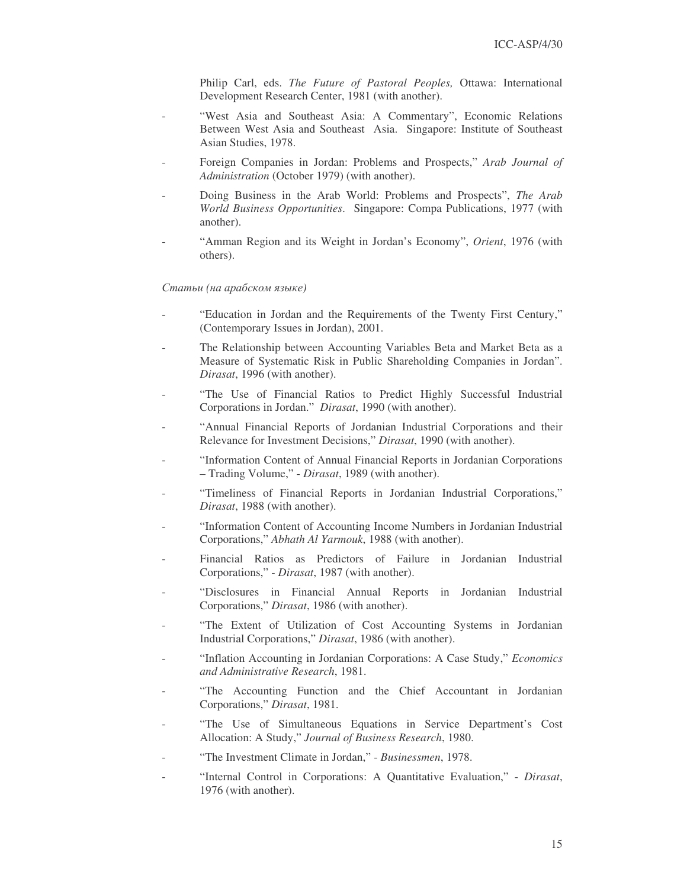Philip Carl, eds. *The Future of Pastoral Peoples,* Ottawa: International Development Research Center, 1981 (with another).

- "West Asia and Southeast Asia: A Commentary", Economic Relations Between West Asia and Southeast Asia. Singapore: Institute of Southeast Asian Studies, 1978.
- Foreign Companies in Jordan: Problems and Prospects," *Arab Journal of Administration* (October 1979) (with another).
- Doing Business in the Arab World: Problems and Prospects", *The Arab World Business Opportunities*. Singapore: Compa Publications, 1977 (with another).
- "Amman Region and its Weight in Jordan's Economy", *Orient*, 1976 (with others).

## Статьи (на арабском языке)

- "Education in Jordan and the Requirements of the Twenty First Century," (Contemporary Issues in Jordan), 2001.
- The Relationship between Accounting Variables Beta and Market Beta as a Measure of Systematic Risk in Public Shareholding Companies in Jordan". *Dirasat*, 1996 (with another).
- "The Use of Financial Ratios to Predict Highly Successful Industrial Corporations in Jordan." *Dirasat*, 1990 (with another).
- "Annual Financial Reports of Jordanian Industrial Corporations and their Relevance for Investment Decisions," *Dirasat*, 1990 (with another).
- "Information Content of Annual Financial Reports in Jordanian Corporations – Trading Volume," - *Dirasat*, 1989 (with another).
- "Timeliness of Financial Reports in Jordanian Industrial Corporations," *Dirasat*, 1988 (with another).
- "Information Content of Accounting Income Numbers in Jordanian Industrial Corporations," *Abhath Al Yarmouk*, 1988 (with another).
- Financial Ratios as Predictors of Failure in Jordanian Industrial Corporations," - *Dirasat*, 1987 (with another).
- "Disclosures in Financial Annual Reports in Jordanian Industrial Corporations," *Dirasat*, 1986 (with another).
- "The Extent of Utilization of Cost Accounting Systems in Jordanian Industrial Corporations," *Dirasat*, 1986 (with another).
- "Inflation Accounting in Jordanian Corporations: A Case Study," *Economics and Administrative Research*, 1981.
- "The Accounting Function and the Chief Accountant in Jordanian Corporations," *Dirasat*, 1981.
- "The Use of Simultaneous Equations in Service Department's Cost Allocation: A Study," *Journal of Business Research*, 1980.
- "The Investment Climate in Jordan," *Businessmen*, 1978.
- "Internal Control in Corporations: A Quantitative Evaluation," *Dirasat*, 1976 (with another).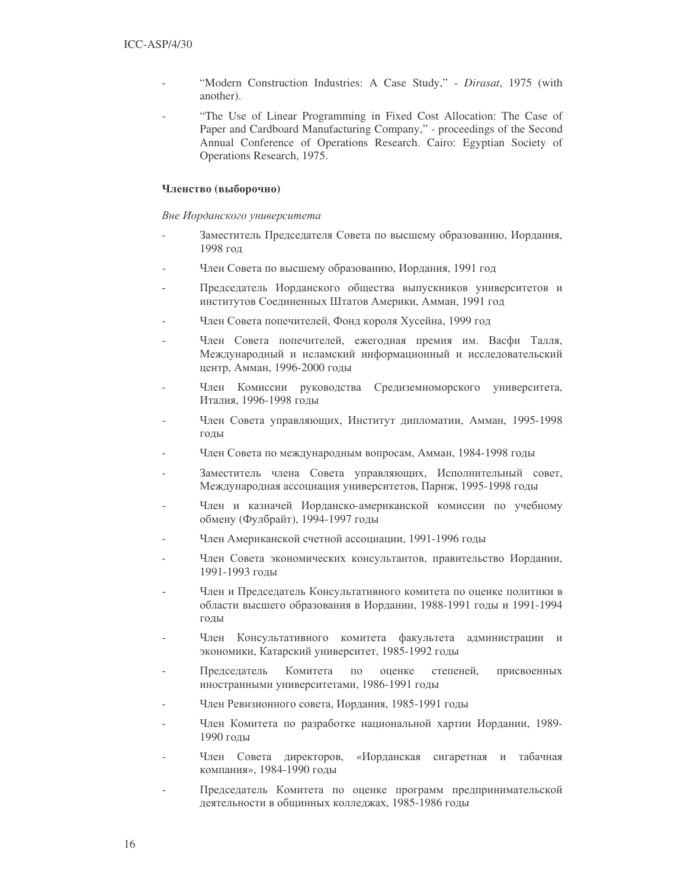- "Modern Construction Industries: A Case Study," Dirasat, 1975 (with another).
- "The Use of Linear Programming in Fixed Cost Allocation: The Case of Paper and Cardboard Manufacturing Company," - proceedings of the Second Annual Conference of Operations Research. Cairo: Egyptian Society of Operations Research, 1975.

## Членство (выборочно)

## Вне Иорданского университета

- Заместитель Председателя Совета по высшему образованию, Иордания, 1998 год
- Член Совета по высшему образованию, Иордания, 1991 год
- Председатель Иорданского общества выпускников университетов и институтов Соединенных Штатов Америки, Амман, 1991 год
- Член Совета попечителей, Фонд короля Хусейна, 1999 год
- Член Совета попечителей, ежегодная премия им. Васфи Талля, Международный и исламский информационный и исследовательский центр, Амман, 1996-2000 годы
- Член Комиссии руководства Средиземноморского университета, Италия, 1996-1998 годы
- Член Совета управляющих, Институт дипломатии, Амман, 1995-1998 годы
- Член Совета по международным вопросам, Амман, 1984-1998 годы
- Заместитель члена Совета управляющих, Исполнительный совет, Международная ассоциация университетов, Париж, 1995-1998 годы
- Член и казначей Иорданско-американской комиссии по учебному обмену (Фулбрайт), 1994-1997 годы
- Член Американской счетной ассоциации, 1991-1996 годы
- Член Совета экономических консультантов, правительство Иордании, 1991-1993 голы
- Член и Председатель Консультативного комитета по оценке политики в области высшего образования в Иордании, 1988-1991 годы и 1991-1994 ГОДЫ
- Член Консультативного комитета факультета администрации и экономики, Катарский университет, 1985-1992 годы
- Председатель Комитета  $\Pi{\rm O}$ оценке степеней. присвоенных иностранными университетами, 1986-1991 годы
- Член Ревизионного совета, Иордания, 1985-1991 годы
- Член Комитета по разработке национальной хартии Иордании, 1989-1990 голы
- Член Совета директоров, «Иорданская сигаретная и табачная компания», 1984-1990 годы
- Председатель Комитета по оценке программ предпринимательской деятельности в общинных колледжах, 1985-1986 годы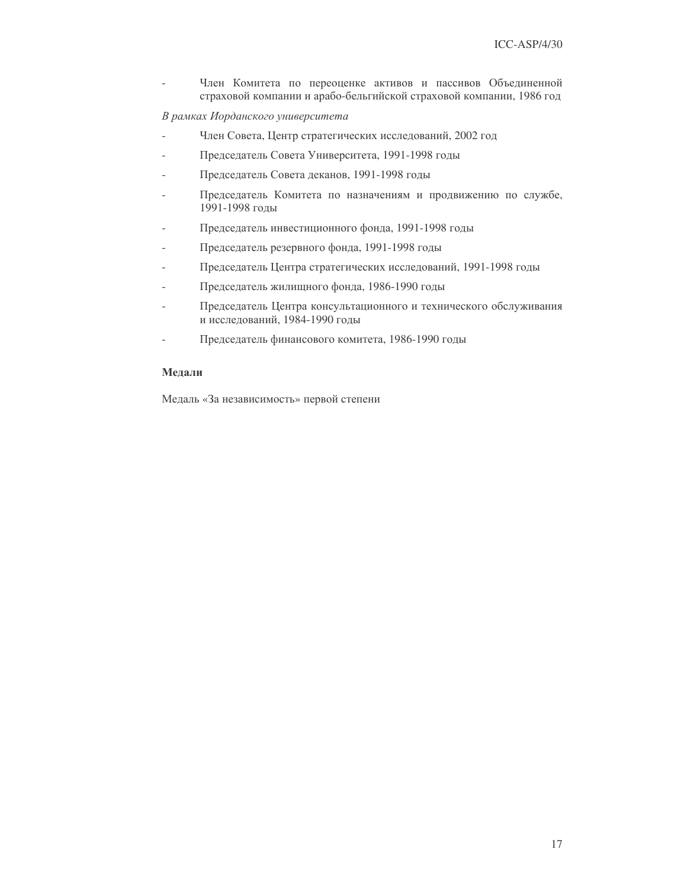Член Комитета по переоценке активов и пассивов Объединенной страховой компании и арабо-бельгийской страховой компании, 1986 год

В рамках Иорданского университета

- Член Совета, Центр стратегических исследований, 2002 год
- Председатель Совета Университета, 1991-1998 годы
- Председатель Совета деканов, 1991-1998 годы
- Председатель Комитета по назначениям и продвижению по службе, 1991-1998 годы
- Председатель инвестиционного фонда, 1991-1998 годы
- Председатель резервного фонда, 1991-1998 годы
- Председатель Центра стратегических исследований, 1991-1998 годы
- Председатель жилищного фонда, 1986-1990 годы
- Председатель Центра консультационного и технического обслуживания и исследований, 1984-1990 годы
- Председатель финансового комитета, 1986-1990 годы

## Мелали

Медаль «За независимость» первой степени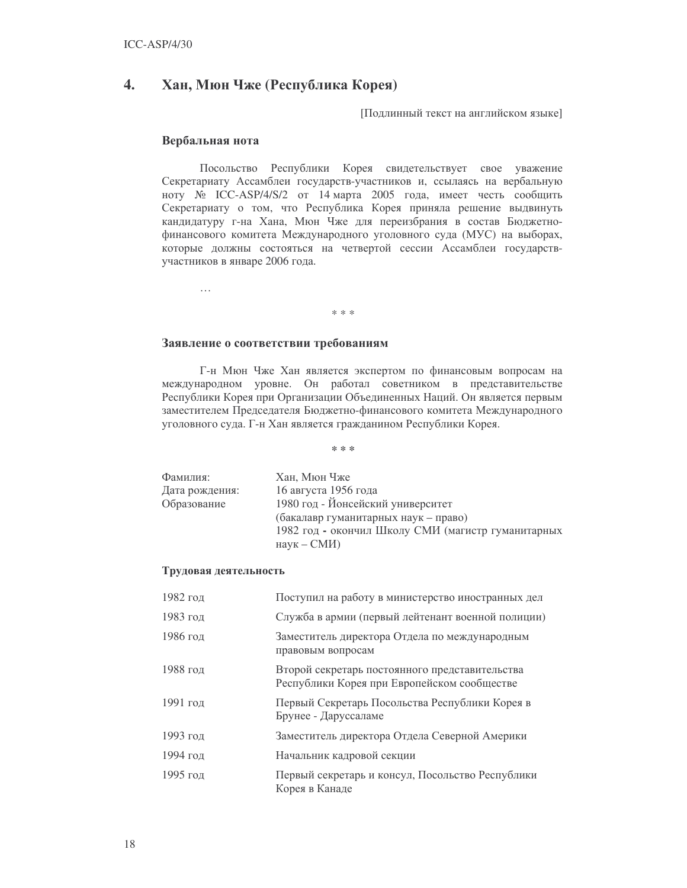#### 4. Хан, Мюн Чже (Республика Корея)

[Подлинный текст на английском языке]

## Вербальная нота

Посольство Республики Корея свидетельствует свое уважение Секретариату Ассамблеи государств-участников и, ссылаясь на вербальную ноту № ICC-ASP/4/S/2 от 14 марта 2005 года, имеет честь сообщить Секретариату о том, что Республика Корея приняла решение выдвинуть кандидатуру г-на Хана, Мюн Чже для переизбрания в состав Бюджетнофинансового комитета Международного уголовного суда (МУС) на выборах, которые должны состояться на четвертой сессии Ассамблеи государствучастников в январе 2006 года.

 $\ddotsc$ 

# Заявление о соответствии требованиям

Г-н Мюн Чже Хан является экспертом по финансовым вопросам на международном уровне. Он работал советником в представительстве Республики Корея при Организации Объединенных Наций. Он является первым заместителем Председателя Бюджетно-финансового комитета Международного уголовного суда. Г-н Хан является гражданином Республики Корея.

\* \* \*

 $* * *$ 

| Фамилия:       | Хан, Мюн Чже                                       |
|----------------|----------------------------------------------------|
| Дата рождения: | 16 августа 1956 года                               |
| Образование    | 1980 год - Йонсейский университет                  |
|                | (бакалавр гуманитарных наук – право)               |
|                | 1982 год - окончил Школу СМИ (магистр гуманитарных |
|                | $H$ аук – СМИ)                                     |

## Трудовая деятельность

| 1982 год | Поступил на работу в министерство иностранных дел                                             |
|----------|-----------------------------------------------------------------------------------------------|
| 1983 год | Служба в армии (первый лейтенант военной полиции)                                             |
| 1986 год | Заместитель директора Отдела по международным<br>правовым вопросам                            |
| 1988 год | Второй секретарь постоянного представительства<br>Республики Корея при Европейском сообществе |
| 1991 год | Первый Секретарь Посольства Республики Корея в<br>Брунее - Даруссаламе                        |
| 1993 год | Заместитель директора Отдела Северной Америки                                                 |
| 1994 год | Начальник кадровой секции                                                                     |
| 1995 год | Первый секретарь и консул, Посольство Республики<br>Корея в Канаде                            |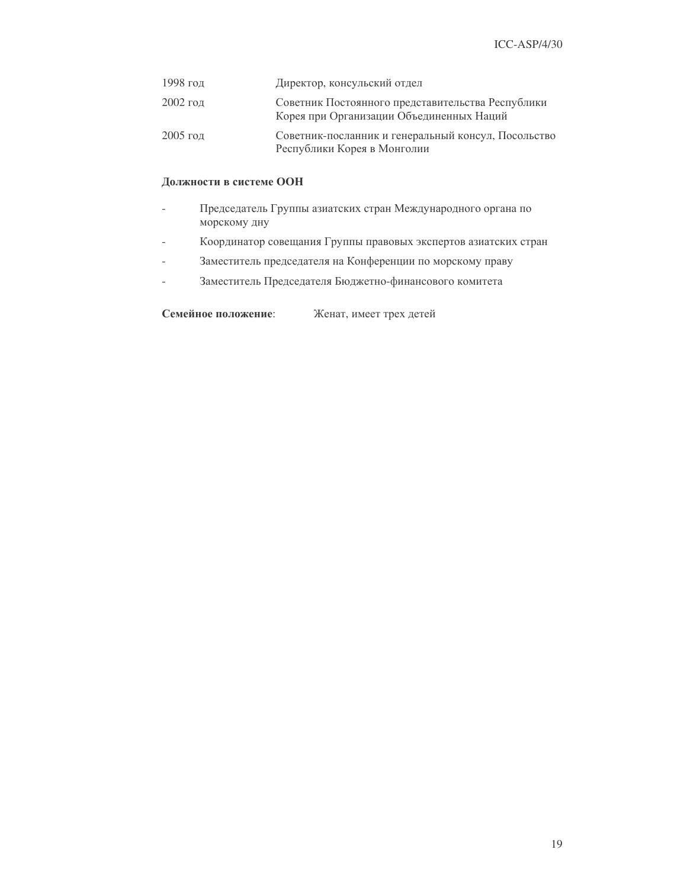| 1998 год   | Директор, консульский отдел                                                                   |
|------------|-----------------------------------------------------------------------------------------------|
| $2002$ год | Советник Постоянного представительства Республики<br>Корея при Организации Объединенных Наций |
| $2005$ год | Советник-посланник и генеральный консул, Посольство<br>Республики Корея в Монголии            |

## Должности в системе ООН

- Председатель Группы азиатских стран Международного органа по  $\overline{a}$ морскому дну
- Координатор совещания Группы правовых экспертов азиатских стран  $\overline{a}$
- Заместитель председателя на Конференции по морскому праву
- Заместитель Председателя Бюджетно-финансового комитета  $\overline{a}$

Семейное положение: Женат, имеет трех детей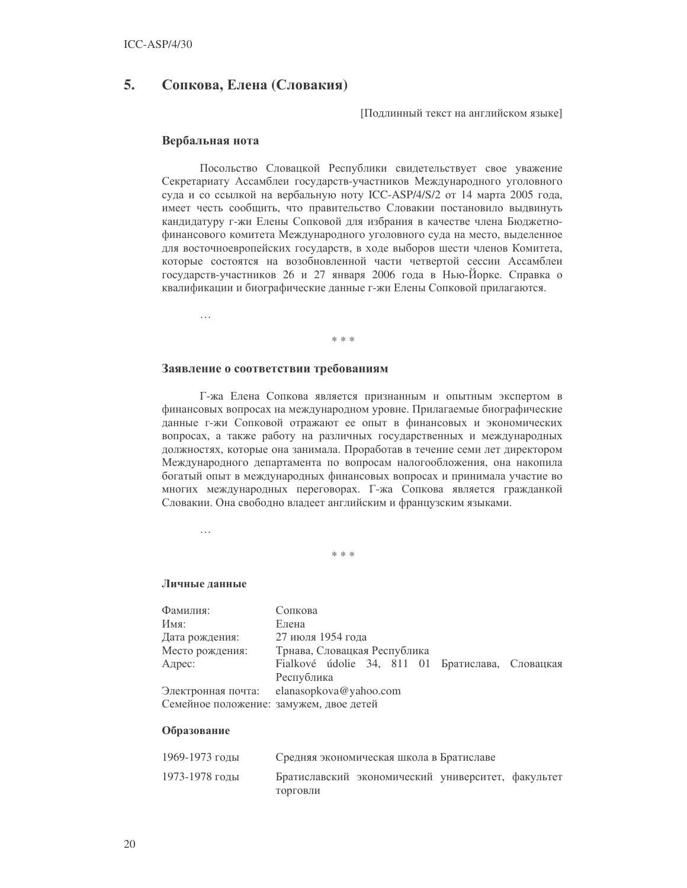#### 5. Сопкова, Елена (Словакия)

Подлинный текст на английском языке]

## Вербальная нота

Посольство Словацкой Республики свидетельствует свое уважение Секретариату Ассамблеи государств-участников Международного уголовного суда и со ссылкой на вербальную ноту ICC-ASP/4/S/2 от 14 марта 2005 года, имеет честь сообщить, что правительство Словакии постановило выдвинуть кандидатуру г-жи Елены Сопковой для избрания в качестве члена Бюджетнофинансового комитета Международного уголовного суда на место, выделенное для восточноевропейских государств, в ходе выборов шести членов Комитета, которые состоятся на возобновленной части четвертой сессии Ассамблеи государств-участников 26 и 27 января 2006 года в Нью-Йорке. Справка о квалификации и биографические данные г-жи Елены Сопковой прилагаются.

 $\ldots$ 

#### sk sk sk

## Заявление о соответствии требованиям

Г-жа Елена Сопкова является признанным и опытным экспертом в финансовых вопросах на международном уровне. Прилагаемые биографические данные г-жи Сопковой отражают ее опыт в финансовых и экономических вопросах, а также работу на различных государственных и международных должностях, которые она занимала. Проработав в течение семи лет директором Международного департамента по вопросам налогообложения, она накопила богатый опыт в международных финансовых вопросах и принимала участие во многих международных переговорах. Г-жа Сопкова является гражданкой Словакии. Она свободно владеет английским и французским языками.

 $\cdots$ 

 $* * *$ 

#### Личные ланные

| Фамилия:                                | Сопкова                                          |  |  |  |
|-----------------------------------------|--------------------------------------------------|--|--|--|
| Имя:                                    | Елена                                            |  |  |  |
| Дата рождения:                          | 27 июля 1954 года                                |  |  |  |
| Место рождения:                         | Трнава, Словацкая Республика                     |  |  |  |
| Адрес:                                  | Fialkové údolie 34, 811 01 Братислава, Словацкая |  |  |  |
|                                         | Республика                                       |  |  |  |
| Электронная почта:                      | elanasopkova@yahoo.com                           |  |  |  |
| Семейное положение: замужем, двое детей |                                                  |  |  |  |
|                                         |                                                  |  |  |  |

## Образование

| 1969-1973 годы | Средняя экономическая школа в Братиславе |                                                    |  |  |
|----------------|------------------------------------------|----------------------------------------------------|--|--|
| 1973-1978 годы |                                          | Братиславский экономический университет, факультет |  |  |
|                | ТОРГОВЛИ                                 |                                                    |  |  |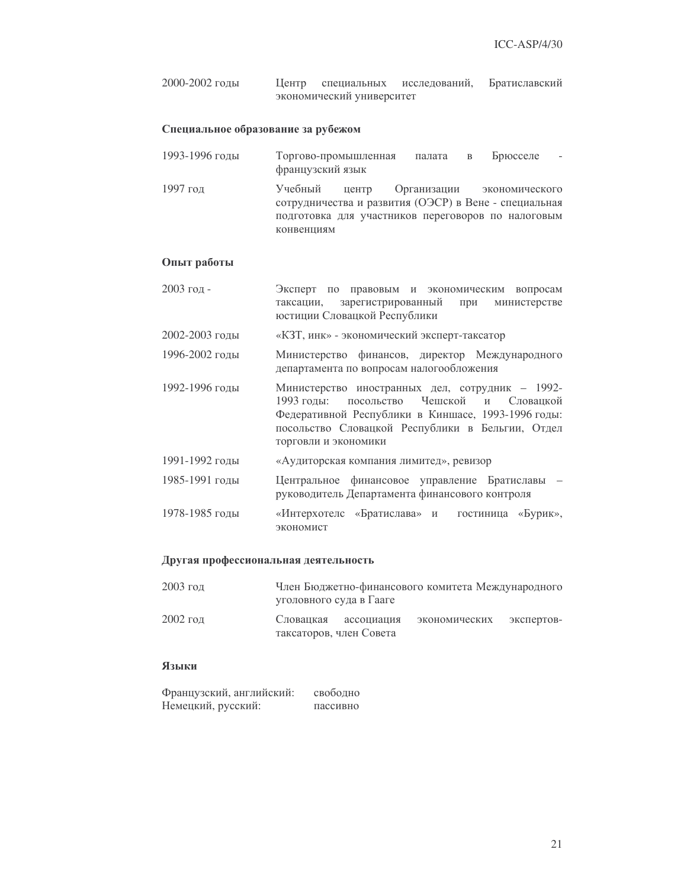2000-2002 годы Центр специальных исследов аний, Братиславский экономический университет

## Специальное образование за рубежом

- 1993-1996 голы Торгово-промышленная палата в Брюсселе французский язык
- 1997 год иебный центр Организации экономического сотрудничества и развития (ОЭСР) в Вене - специальная подготовка для участников переговоров по налоговым конвенциям

### Опыт работы

- 2003 год Эксперт по правовым и экономическим вопросам таксации, зарегистрированный анный при министерстве юстиции Словацкой Республики
- 2002-2003 годы «КЗТ, инк» экономический эксперт-таксатор
- 1996-2002  1 о финансов, директор Международного департамента по вопросам налогообложения
- 1992-1996 годы Министерство иностранных дел, сотрудник 1992-1993 годы: посольство Чешской и **Словацкой** Федеративной Республики в Киншасе, 1993-1996 годы: посольство Словацкой Республики в Бельгии, Отдел торговли и экономики
- 1991-1992 годы «Аудиторская компания лимитед», ревизор
- 1985-1991 годы ное финансовое управление Братиславы руководитель Департамента финансового контроля
- 1978-1985 годы «Интерхотелс «Братислава» и гостиница «Бурик», экономист

### Другая профессиональная деятельность

| $2003$ год |                         | Член Бюджетно-финансового комитета Международного |            |
|------------|-------------------------|---------------------------------------------------|------------|
|            | уголовного суда в Гааге |                                                   |            |
| $2002$ год | Слованкая ассониания    | экономических                                     | экспертов- |

таксаторов, член Совета

## Языки

| Французский, английский: | свободно |
|--------------------------|----------|
| Немецкий, русский:       | пассивно |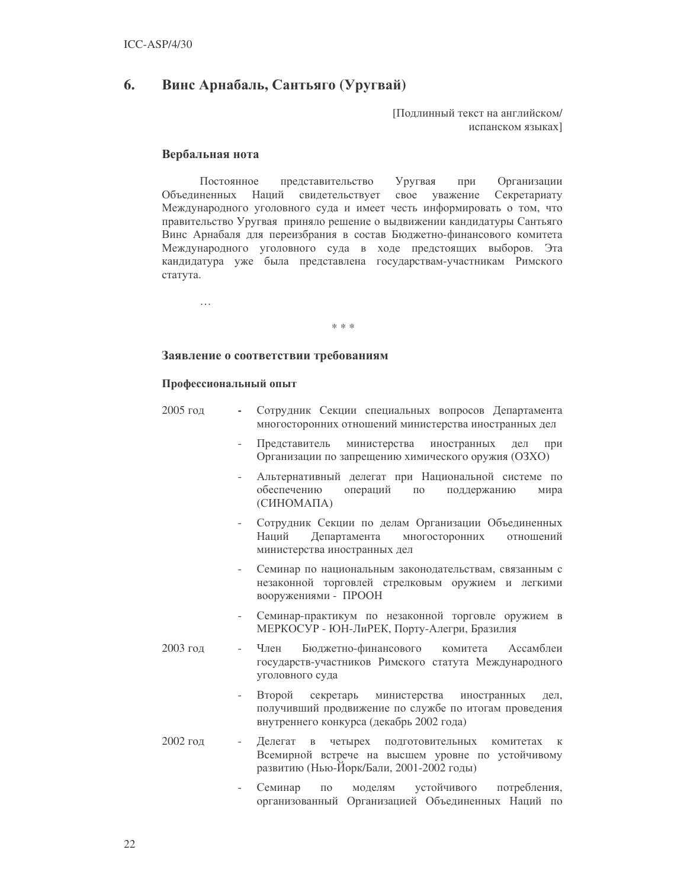#### 6. Винс Арнабаль, Сантьяго (Уругвай)

Поллинный текст на английском/ испанском языках]

## Вербальная нота

 $\ldots$ 

Постоянное представительство Уругвая при Организации Объелиненных Наций свидетельствует свое уважение Секретариату Международного уголовного суда и имеет честь информировать о том, что правительство Уругвая приняло решение о выдвижении кандидатуры Сантьяго Винс Арнабаля для переизбрания в состав Бюджетно-финансового комитета Международного уголовного суда в ходе предстоящих выборов. Эта кандидатура уже была представлена государствам-участникам Римского статута.

sk sk sk

## Заявление о соответствии требованиям

#### Профессиональный опыт

- $2005$  год Сотрудник Секции специальных вопросов Департамента многосторонних отношений министерства иностранных дел
	- при Представитель министерства иностранных дел Организации по запрещению химического оружия (ОЗХО)
	- Альтернативный делегат при Национальной системе по обеспечению операций  $\Pi$ <sup>O</sup> поддержанию мира (CHHOMAIIA)
	- Сотрудник Секции по делам Организации Объединенных Департамента многосторонних Наций отношений министерства иностранных дел
	- Семинар по национальным законодательствам, связанным с незаконной торговлей стрелковым оружием и легкими вооружениями - ПРООН
	- Семинар-практикум по незаконной торговле оружием в МЕРКОСУР - ЮН-ЛиРЕК, Порту-Алегри, Бразилия
- 2003 год Член Бюджетно-финансового комитета Ассамблеи государств-участников Римского статута Международного уголовного суда
	- Второй секретарь министерства иностранных леп. получивший продвижение по службе по итогам проведения внутреннего конкурса (декабрь 2002 года)
- 2002 год Делегат в четырех подготовительных комитетах к  $\mathbf{r}$ Всемирной встрече на высшем уровне по устойчивому развитию (Нью-Йорк/Бали, 2001-2002 годы)
	- Семинар  $\Pi$ <sup>O</sup> моделям устойчивого потребления, организованный Организацией Объединенных Наций по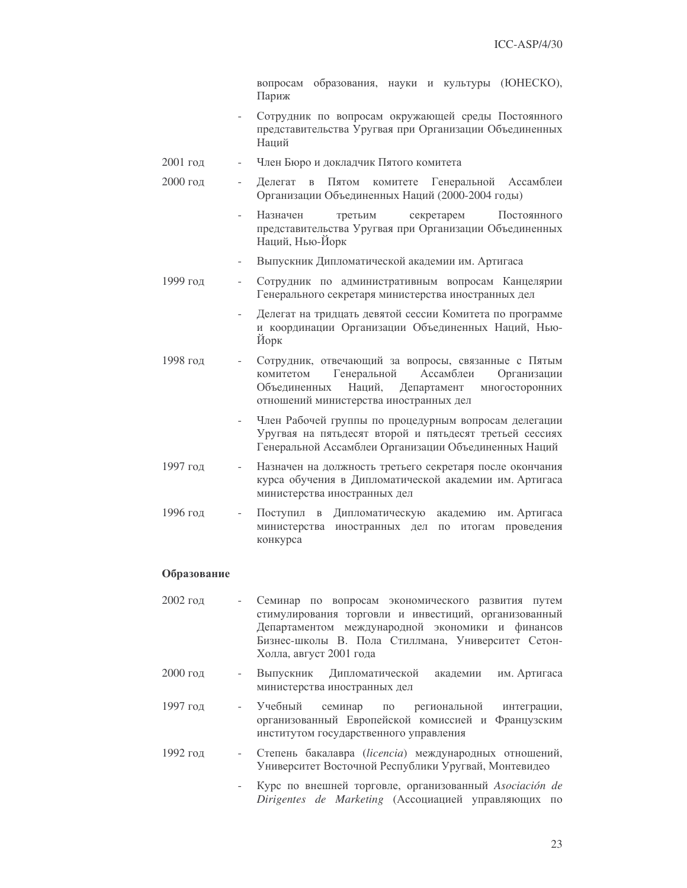вопросам образования, науки и культуры (ЮНЕСКО), Париж

- Сотрудник по вопросам окружающей среды Постоянного представительства Уругвая при Организации Объединенных Наций
- 2001 год Член Бюро и докладчик Пятого комитета
- 2000 год Делегат в Пятом комитете Генеральной Ассамблеи Организации Объединенных Наций (2000-2004 годы)
	- Назначен третьим секретарем Постоянного представительства Уругвая при Организации Объединенных Наций, Нью-Йорк
	- Выпускник Дипломатической академии им. Артигаса
- 1999 год Сотрудник по административным вопросам Канцелярии Генерального секретаря министерства иностранных дел
	- Делегат на тридцать девятой сессии Комитета по программе и координации Организации Объединенных Наций, Нью-Йорк
- 1998 год Сотрудник, отвечающий за вопросы, связанные с Пятым комитетом Генеральной Ассамблеи Организации Объелиненных Наший. Департамент МНОГОСТОРОННИХ отношений министерства иностранных дел
	- Член Рабочей группы по процедурным вопросам делегации Уругвая на пятьдесят второй и пятьдесят третьей сессиях Генеральной Ассамблеи Организации Объединенных Наций
- 1997 год Назначен на должность третьего секретаря после окончания курса обучения в Дипломатической академии им. Артигаса министерства иностранных дел
- 1996 гол Поступил в Дипломатическую академию им. Артигаса министерства иностранных дел по итогам проведения конкурса

## Образование

- $2002$  гол Семинар по вопросам экономического развития путем стимулирования торговли и инвестиций, организованный Департаментом международной экономики и финансов Бизнес-школы В. Пола Стиллмана, Университет Сетон-Холла, август 2001 года
- 2000 год Выпускник Дипломатической академии им. Артигаса министерства иностранных дел
- 1997 год Учебный семинар  $\Pi{\rm O}$ региональной интеграции, организованный Европейской комиссией и Французским институтом государственного управления
- 1992 год Степень бакалавра (licencia) международных отношений, Университет Восточной Республики Уругвай, Монтевидео
	- Курс по внешней торговле, организованный Asociación de  $\overline{a}$ Dirigentes de Marketing (Ассоциацией управляющих по